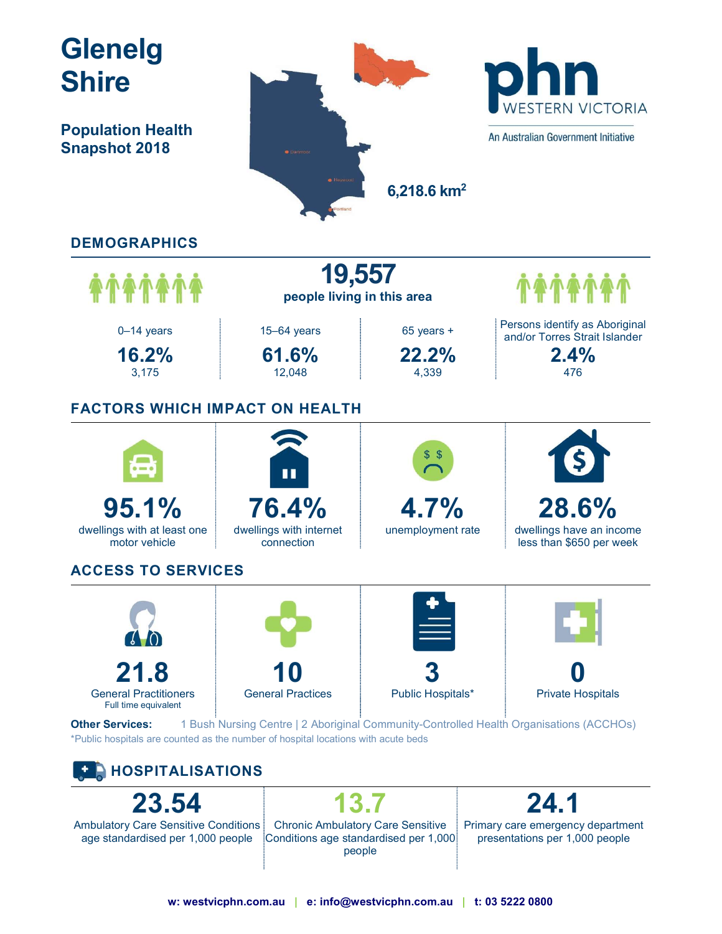